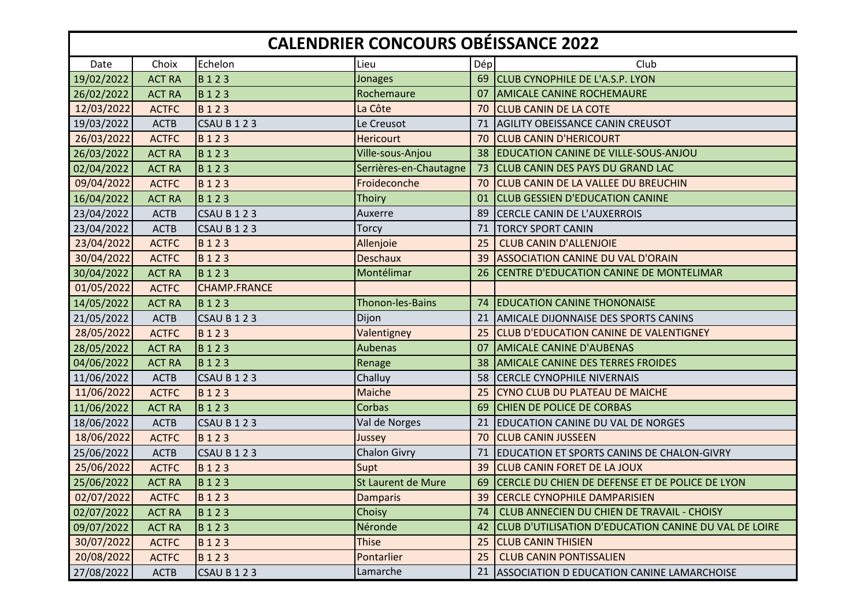## **CALENDRIER CONCOURS OBÉISSANCE 2022**

| Date       | Choix         | Echelon             | Lieu                   | Dép | Club                                                  |
|------------|---------------|---------------------|------------------------|-----|-------------------------------------------------------|
| 19/02/2022 | <b>ACT RA</b> | <b>B123</b>         | Jonages                | 69  | <b>CLUB CYNOPHILE DE L'A.S.P. LYON</b>                |
| 26/02/2022 | <b>ACT RA</b> | <b>B123</b>         | Rochemaure             | 07  | <b>AMICALE CANINE ROCHEMAURE</b>                      |
| 12/03/2022 | <b>ACTFC</b>  | <b>B</b> 123        | La Côte                | 70  | <b>CLUB CANIN DE LA COTE</b>                          |
| 19/03/2022 | <b>ACTB</b>   | CSAU B123           | Le Creusot             | 71  | <b>AGILITY OBEISSANCE CANIN CREUSOT</b>               |
| 26/03/2022 | <b>ACTFC</b>  | B123                | <b>Hericourt</b>       | 70  | <b>CLUB CANIN D'HERICOURT</b>                         |
| 26/03/2022 | <b>ACT RA</b> | <b>B</b> 123        | Ville-sous-Anjou       | 38  | <b>EDUCATION CANINE DE VILLE-SOUS-ANJOU</b>           |
| 02/04/2022 | <b>ACT RA</b> | B123                | Serrières-en-Chautagne | 73  | <b>CLUB CANIN DES PAYS DU GRAND LAC</b>               |
| 09/04/2022 | <b>ACTFC</b>  | B123                | Froideconche           | 70  | CLUB CANIN DE LA VALLEE DU BREUCHIN                   |
| 16/04/2022 | <b>ACT RA</b> | B123                | <b>Thoiry</b>          | 01  | <b>CLUB GESSIEN D'EDUCATION CANINE</b>                |
| 23/04/2022 | <b>ACTB</b>   | CSAU B123           | Auxerre                | 89  | CERCLE CANIN DE L'AUXERROIS                           |
| 23/04/2022 | <b>ACTB</b>   | CSAU B123           | Torcy                  | 71  | <b>TORCY SPORT CANIN</b>                              |
| 23/04/2022 | <b>ACTFC</b>  | <b>B123</b>         | Allenjoie              | 25  | <b>CLUB CANIN D'ALLENJOIE</b>                         |
| 30/04/2022 | <b>ACTFC</b>  | <b>B123</b>         | <b>Deschaux</b>        | 39  | <b>ASSOCIATION CANINE DU VAL D'ORAIN</b>              |
| 30/04/2022 | <b>ACT RA</b> | <b>B123</b>         | Montélimar             | 26  | <b>CENTRE D'EDUCATION CANINE DE MONTELIMAR</b>        |
| 01/05/2022 | <b>ACTFC</b>  | <b>CHAMP.FRANCE</b> |                        |     |                                                       |
| 14/05/2022 | <b>ACT RA</b> | <b>B123</b>         | Thonon-les-Bains       | 74  | <b>EDUCATION CANINE THONONAISE</b>                    |
| 21/05/2022 | <b>ACTB</b>   | CSAU B123           | Dijon                  | 21  | <b>AMICALE DIJONNAISE DES SPORTS CANINS</b>           |
| 28/05/2022 | <b>ACTFC</b>  | <b>B123</b>         | Valentigney            | 25  | <b>CLUB D'EDUCATION CANINE DE VALENTIGNEY</b>         |
| 28/05/2022 | <b>ACT RA</b> | B <sub>123</sub>    | <b>Aubenas</b>         | 07  | <b>AMICALE CANINE D'AUBENAS</b>                       |
| 04/06/2022 | <b>ACT RA</b> | <b>B</b> 123        | Renage                 | 38  | <b>AMICALE CANINE DES TERRES FROIDES</b>              |
| 11/06/2022 | <b>ACTB</b>   | CSAU B123           | Challuy                | 58  | <b>CERCLE CYNOPHILE NIVERNAIS</b>                     |
| 11/06/2022 | <b>ACTFC</b>  | B123                | <b>Maiche</b>          | 25  | CYNO CLUB DU PLATEAU DE MAICHE                        |
| 11/06/2022 | <b>ACT RA</b> | B123                | Corbas                 | 69  | CHIEN DE POLICE DE CORBAS                             |
| 18/06/2022 | <b>ACTB</b>   | <b>CSAU B 1 2 3</b> | Val de Norges          | 21  | <b>EDUCATION CANINE DU VAL DE NORGES</b>              |
| 18/06/2022 | <b>ACTFC</b>  | B123                | Jussey                 | 70  | <b>CLUB CANIN JUSSEEN</b>                             |
| 25/06/2022 | <b>ACTB</b>   | CSAU B123           | <b>Chalon Givry</b>    | 71  | EDUCATION ET SPORTS CANINS DE CHALON-GIVRY            |
| 25/06/2022 | <b>ACTFC</b>  | <b>B123</b>         | Supt                   | 39  | <b>CLUB CANIN FORET DE LA JOUX</b>                    |
| 25/06/2022 | <b>ACT RA</b> | <b>B</b> 123        | St Laurent de Mure     | 69  | CERCLE DU CHIEN DE DEFENSE ET DE POLICE DE LYON       |
| 02/07/2022 | <b>ACTFC</b>  | B123                | <b>Damparis</b>        | 39  | <b>CERCLE CYNOPHILE DAMPARISIEN</b>                   |
| 02/07/2022 | <b>ACT RA</b> | <b>B123</b>         | Choisy                 | 74  | CLUB ANNECIEN DU CHIEN DE TRAVAIL - CHOISY            |
| 09/07/2022 | <b>ACT RA</b> | B123                | Néronde                | 42  | CLUB D'UTILISATION D'EDUCATION CANINE DU VAL DE LOIRE |
| 30/07/2022 | <b>ACTFC</b>  | B123                | <b>Thise</b>           | 25  | <b>CLUB CANIN THISIEN</b>                             |
| 20/08/2022 | <b>ACTFC</b>  | B123                | Pontarlier             | 25  | <b>CLUB CANIN PONTISSALIEN</b>                        |
| 27/08/2022 | <b>ACTB</b>   | CSAU B123           | Lamarche               | 21  | ASSOCIATION D EDUCATION CANINE LAMARCHOISE            |